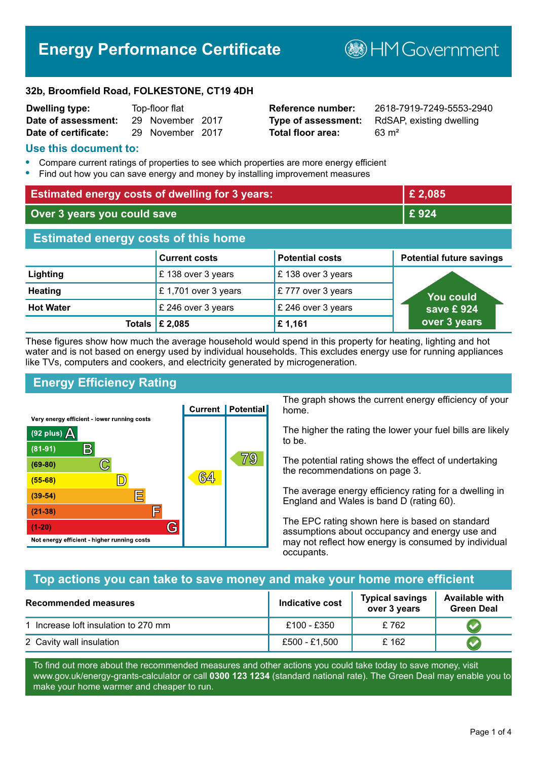# **Energy Performance Certificate**

**B**HM Government

#### **32b, Broomfield Road, FOLKESTONE, CT19 4DH**

| <b>Dwelling type:</b> | Top-floor flat |                  |  |
|-----------------------|----------------|------------------|--|
| Date of assessment:   |                | 29 November 2017 |  |
| Date of certificate:  |                | 29 November 2017 |  |

# **Total floor area:** 63 m<sup>2</sup>

**Reference number:** 2618-7919-7249-5553-2940 **Type of assessment:** RdSAP, existing dwelling

#### **Use this document to:**

- **•** Compare current ratings of properties to see which properties are more energy efficient
- **•** Find out how you can save energy and money by installing improvement measures

| <b>Estimated energy costs of dwelling for 3 years:</b> |                           |                        | £2,085                          |
|--------------------------------------------------------|---------------------------|------------------------|---------------------------------|
| Over 3 years you could save                            |                           |                        | £924                            |
| <b>Estimated energy costs of this home</b>             |                           |                        |                                 |
|                                                        | <b>Current costs</b>      | <b>Potential costs</b> | <b>Potential future savings</b> |
| Lighting                                               | £138 over 3 years         | £138 over 3 years      |                                 |
| <b>Heating</b>                                         | £1,701 over 3 years       | £777 over 3 years      | You could                       |
| <b>Hot Water</b>                                       | £ 246 over 3 years        | £ 246 over 3 years     | save £924                       |
|                                                        | Totals $\mathsf{E}$ 2,085 | £1,161                 | over 3 years                    |

These figures show how much the average household would spend in this property for heating, lighting and hot water and is not based on energy used by individual households. This excludes energy use for running appliances like TVs, computers and cookers, and electricity generated by microgeneration.

# **Energy Efficiency Rating**



The graph shows the current energy efficiency of your home.

The higher the rating the lower your fuel bills are likely to be.

The potential rating shows the effect of undertaking the recommendations on page 3.

The average energy efficiency rating for a dwelling in England and Wales is band D (rating 60).

The EPC rating shown here is based on standard assumptions about occupancy and energy use and may not reflect how energy is consumed by individual occupants.

# **Top actions you can take to save money and make your home more efficient**

| Recommended measures                 | Indicative cost | <b>Typical savings</b><br>over 3 years | <b>Available with</b><br><b>Green Deal</b> |
|--------------------------------------|-----------------|----------------------------------------|--------------------------------------------|
| 1 Increase loft insulation to 270 mm | £100 - £350     | £762                                   |                                            |
| 2 Cavity wall insulation             | £500 - £1,500   | £162                                   |                                            |

To find out more about the recommended measures and other actions you could take today to save money, visit www.gov.uk/energy-grants-calculator or call **0300 123 1234** (standard national rate). The Green Deal may enable you to make your home warmer and cheaper to run.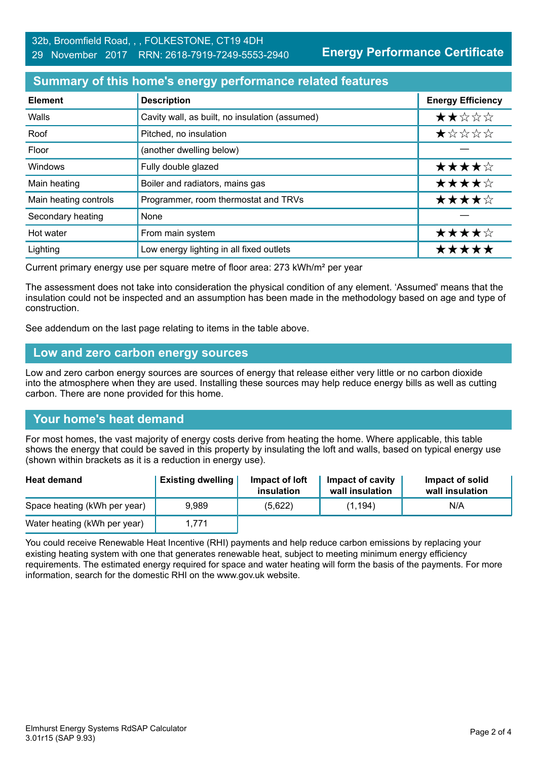**Energy Performance Certificate**

## **Summary of this home's energy performance related features**

| <b>Element</b>        | <b>Description</b>                             | <b>Energy Efficiency</b> |
|-----------------------|------------------------------------------------|--------------------------|
| Walls                 | Cavity wall, as built, no insulation (assumed) | ★★☆☆☆                    |
| Roof                  | Pitched, no insulation                         | *****                    |
| Floor                 | (another dwelling below)                       |                          |
| Windows               | Fully double glazed                            | ★★★★☆                    |
| Main heating          | Boiler and radiators, mains gas                | ★★★★☆                    |
| Main heating controls | Programmer, room thermostat and TRVs           | ★★★★☆                    |
| Secondary heating     | None                                           |                          |
| Hot water             | From main system                               | ★★★★☆                    |
| Lighting              | Low energy lighting in all fixed outlets       | *****                    |

Current primary energy use per square metre of floor area: 273 kWh/m² per year

The assessment does not take into consideration the physical condition of any element. 'Assumed' means that the insulation could not be inspected and an assumption has been made in the methodology based on age and type of construction.

See addendum on the last page relating to items in the table above.

#### **Low and zero carbon energy sources**

Low and zero carbon energy sources are sources of energy that release either very little or no carbon dioxide into the atmosphere when they are used. Installing these sources may help reduce energy bills as well as cutting carbon. There are none provided for this home.

# **Your home's heat demand**

For most homes, the vast majority of energy costs derive from heating the home. Where applicable, this table shows the energy that could be saved in this property by insulating the loft and walls, based on typical energy use (shown within brackets as it is a reduction in energy use).

| <b>Heat demand</b>           | <b>Existing dwelling</b> | Impact of loft<br>insulation | Impact of cavity<br>wall insulation | Impact of solid<br>wall insulation |
|------------------------------|--------------------------|------------------------------|-------------------------------------|------------------------------------|
| Space heating (kWh per year) | 9.989                    | (5,622)                      | (1, 194)                            | N/A                                |
| Water heating (kWh per year) | 1.771                    |                              |                                     |                                    |

You could receive Renewable Heat Incentive (RHI) payments and help reduce carbon emissions by replacing your existing heating system with one that generates renewable heat, subject to meeting minimum energy efficiency requirements. The estimated energy required for space and water heating will form the basis of the payments. For more information, search for the domestic RHI on the www.gov.uk website.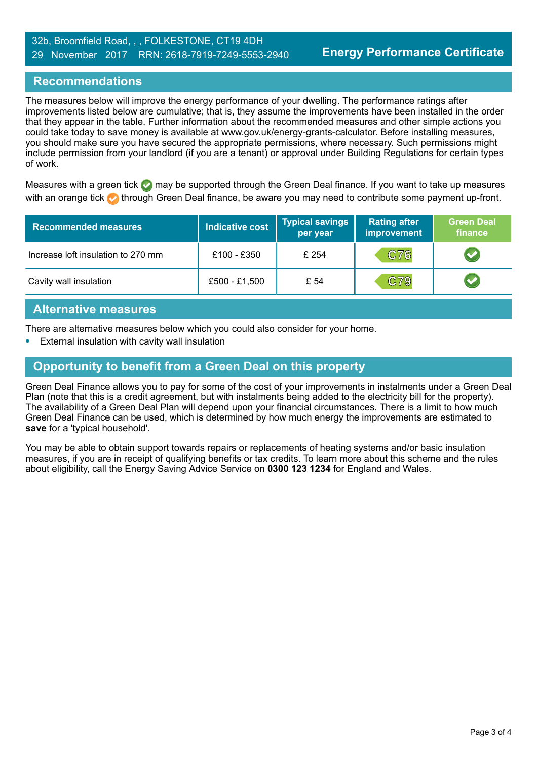# **Recommendations**

The measures below will improve the energy performance of your dwelling. The performance ratings after improvements listed below are cumulative; that is, they assume the improvements have been installed in the order that they appear in the table. Further information about the recommended measures and other simple actions you could take today to save money is available at www.gov.uk/energy-grants-calculator. Before installing measures, you should make sure you have secured the appropriate permissions, where necessary. Such permissions might include permission from your landlord (if you are a tenant) or approval under Building Regulations for certain types of work.

Measures with a green tick  $\bullet$  may be supported through the Green Deal finance. If you want to take up measures with an orange tick **th** through Green Deal finance, be aware you may need to contribute some payment up-front.

| <b>Recommended measures</b>        | <b>Indicative cost</b> | <b>Typical savings</b><br>per year | <b>Rating after</b><br>improvement | <b>Green Deal</b><br>finance |
|------------------------------------|------------------------|------------------------------------|------------------------------------|------------------------------|
| Increase loft insulation to 270 mm | £100 - £350            | £ 254                              | C76                                |                              |
| Cavity wall insulation             | $£500 - £1,500$        | £ 54                               | C79                                |                              |

#### **Alternative measures**

There are alternative measures below which you could also consider for your home.

**•** External insulation with cavity wall insulation

# **Opportunity to benefit from a Green Deal on this property**

Green Deal Finance allows you to pay for some of the cost of your improvements in instalments under a Green Deal Plan (note that this is a credit agreement, but with instalments being added to the electricity bill for the property). The availability of a Green Deal Plan will depend upon your financial circumstances. There is a limit to how much Green Deal Finance can be used, which is determined by how much energy the improvements are estimated to **save** for a 'typical household'.

You may be able to obtain support towards repairs or replacements of heating systems and/or basic insulation measures, if you are in receipt of qualifying benefits or tax credits. To learn more about this scheme and the rules about eligibility, call the Energy Saving Advice Service on **0300 123 1234** for England and Wales.